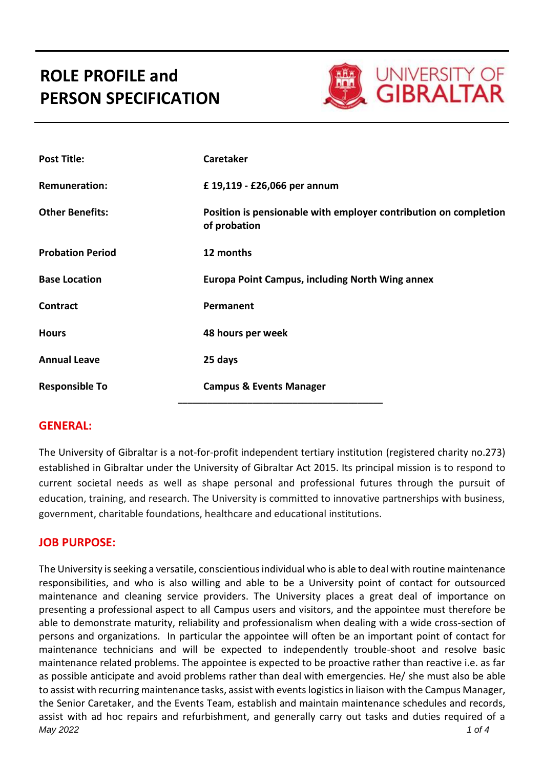# **ROLE PROFILE and PERSON SPECIFICATION**



| <b>Post Title:</b>      | <b>Caretaker</b>                                                                 |
|-------------------------|----------------------------------------------------------------------------------|
| <b>Remuneration:</b>    | £ 19,119 - £26,066 per annum                                                     |
| <b>Other Benefits:</b>  | Position is pensionable with employer contribution on completion<br>of probation |
| <b>Probation Period</b> | 12 months                                                                        |
| <b>Base Location</b>    | <b>Europa Point Campus, including North Wing annex</b>                           |
| <b>Contract</b>         | Permanent                                                                        |
| <b>Hours</b>            | 48 hours per week                                                                |
| <b>Annual Leave</b>     | 25 days                                                                          |
| <b>Responsible To</b>   | <b>Campus &amp; Events Manager</b>                                               |

#### **GENERAL:**

The University of Gibraltar is a not-for-profit independent tertiary institution (registered charity no.273) established in Gibraltar under the University of Gibraltar Act 2015. Its principal mission is to respond to current societal needs as well as shape personal and professional futures through the pursuit of education, training, and research. The University is committed to innovative partnerships with business, government, charitable foundations, healthcare and educational institutions.

#### **JOB PURPOSE:**

*May 2022 1 of 4* The University is seeking a versatile, conscientious individual who is able to deal with routine maintenance responsibilities, and who is also willing and able to be a University point of contact for outsourced maintenance and cleaning service providers. The University places a great deal of importance on presenting a professional aspect to all Campus users and visitors, and the appointee must therefore be able to demonstrate maturity, reliability and professionalism when dealing with a wide cross-section of persons and organizations. In particular the appointee will often be an important point of contact for maintenance technicians and will be expected to independently trouble-shoot and resolve basic maintenance related problems. The appointee is expected to be proactive rather than reactive i.e. as far as possible anticipate and avoid problems rather than deal with emergencies. He/ she must also be able to assist with recurring maintenance tasks, assist with events logistics in liaison with the Campus Manager, the Senior Caretaker, and the Events Team, establish and maintain maintenance schedules and records, assist with ad hoc repairs and refurbishment, and generally carry out tasks and duties required of a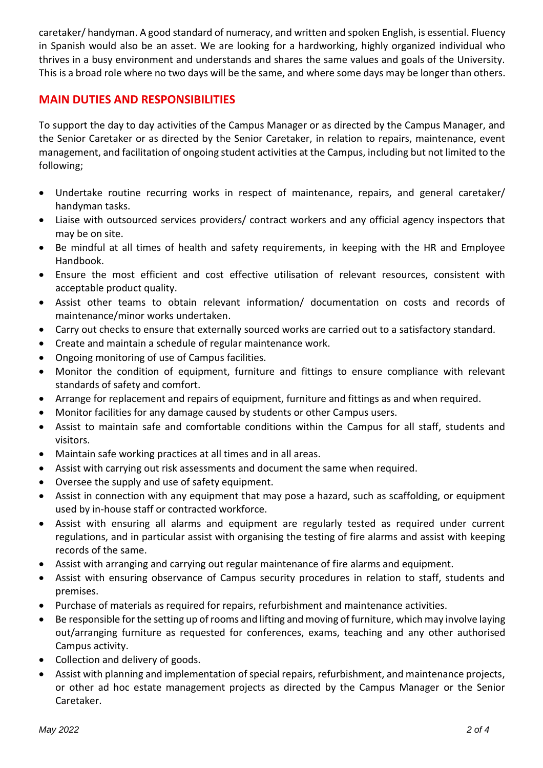caretaker/ handyman. A good standard of numeracy, and written and spoken English, is essential. Fluency in Spanish would also be an asset. We are looking for a hardworking, highly organized individual who thrives in a busy environment and understands and shares the same values and goals of the University. This is a broad role where no two days will be the same, and where some days may be longer than others.

## **MAIN DUTIES AND RESPONSIBILITIES**

To support the day to day activities of the Campus Manager or as directed by the Campus Manager, and the Senior Caretaker or as directed by the Senior Caretaker, in relation to repairs, maintenance, event management, and facilitation of ongoing student activities at the Campus, including but not limited to the following;

- Undertake routine recurring works in respect of maintenance, repairs, and general caretaker/ handyman tasks.
- Liaise with outsourced services providers/ contract workers and any official agency inspectors that may be on site.
- Be mindful at all times of health and safety requirements, in keeping with the HR and Employee Handbook.
- Ensure the most efficient and cost effective utilisation of relevant resources, consistent with acceptable product quality.
- Assist other teams to obtain relevant information/ documentation on costs and records of maintenance/minor works undertaken.
- Carry out checks to ensure that externally sourced works are carried out to a satisfactory standard.
- Create and maintain a schedule of regular maintenance work.
- Ongoing monitoring of use of Campus facilities.
- Monitor the condition of equipment, furniture and fittings to ensure compliance with relevant standards of safety and comfort.
- Arrange for replacement and repairs of equipment, furniture and fittings as and when required.
- Monitor facilities for any damage caused by students or other Campus users.
- Assist to maintain safe and comfortable conditions within the Campus for all staff, students and visitors.
- Maintain safe working practices at all times and in all areas.
- Assist with carrying out risk assessments and document the same when required.
- Oversee the supply and use of safety equipment.
- Assist in connection with any equipment that may pose a hazard, such as scaffolding, or equipment used by in-house staff or contracted workforce.
- Assist with ensuring all alarms and equipment are regularly tested as required under current regulations, and in particular assist with organising the testing of fire alarms and assist with keeping records of the same.
- Assist with arranging and carrying out regular maintenance of fire alarms and equipment.
- Assist with ensuring observance of Campus security procedures in relation to staff, students and premises.
- Purchase of materials as required for repairs, refurbishment and maintenance activities.
- Be responsible for the setting up of rooms and lifting and moving of furniture, which may involve laying out/arranging furniture as requested for conferences, exams, teaching and any other authorised Campus activity.
- Collection and delivery of goods.
- Assist with planning and implementation of special repairs, refurbishment, and maintenance projects, or other ad hoc estate management projects as directed by the Campus Manager or the Senior Caretaker.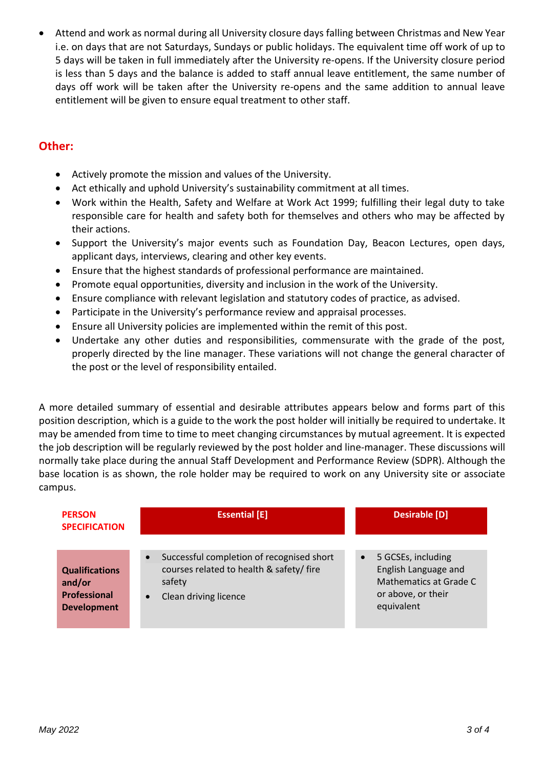Attend and work as normal during all University closure days falling between Christmas and New Year i.e. on days that are not Saturdays, Sundays or public holidays. The equivalent time off work of up to 5 days will be taken in full immediately after the University re-opens. If the University closure period is less than 5 days and the balance is added to staff annual leave entitlement, the same number of days off work will be taken after the University re-opens and the same addition to annual leave entitlement will be given to ensure equal treatment to other staff.

### **Other:**

- Actively promote the mission and values of the University.
- Act ethically and uphold University's sustainability commitment at all times.
- Work within the Health, Safety and Welfare at Work Act 1999; fulfilling their legal duty to take responsible care for health and safety both for themselves and others who may be affected by their actions.
- Support the University's major events such as Foundation Day, Beacon Lectures, open days, applicant days, interviews, clearing and other key events.
- Ensure that the highest standards of professional performance are maintained.
- Promote equal opportunities, diversity and inclusion in the work of the University.
- Ensure compliance with relevant legislation and statutory codes of practice, as advised.
- Participate in the University's performance review and appraisal processes.
- Ensure all University policies are implemented within the remit of this post.
- Undertake any other duties and responsibilities, commensurate with the grade of the post, properly directed by the line manager. These variations will not change the general character of the post or the level of responsibility entailed.

A more detailed summary of essential and desirable attributes appears below and forms part of this position description, which is a guide to the work the post holder will initially be required to undertake. It may be amended from time to time to meet changing circumstances by mutual agreement. It is expected the job description will be regularly reviewed by the post holder and line-manager. These discussions will normally take place during the annual Staff Development and Performance Review (SDPR). Although the base location is as shown, the role holder may be required to work on any University site or associate campus.

| <b>PERSON</b><br><b>SPECIFICATION</b>                                        | <b>Essential [E]</b>                                                                                                                 | <b>Desirable [D]</b>                                                                                                  |
|------------------------------------------------------------------------------|--------------------------------------------------------------------------------------------------------------------------------------|-----------------------------------------------------------------------------------------------------------------------|
| <b>Qualifications</b><br>and/or<br><b>Professional</b><br><b>Development</b> | Successful completion of recognised short<br>courses related to health & safety/fire<br>safety<br>Clean driving licence<br>$\bullet$ | 5 GCSEs, including<br>$\bullet$<br>English Language and<br>Mathematics at Grade C<br>or above, or their<br>equivalent |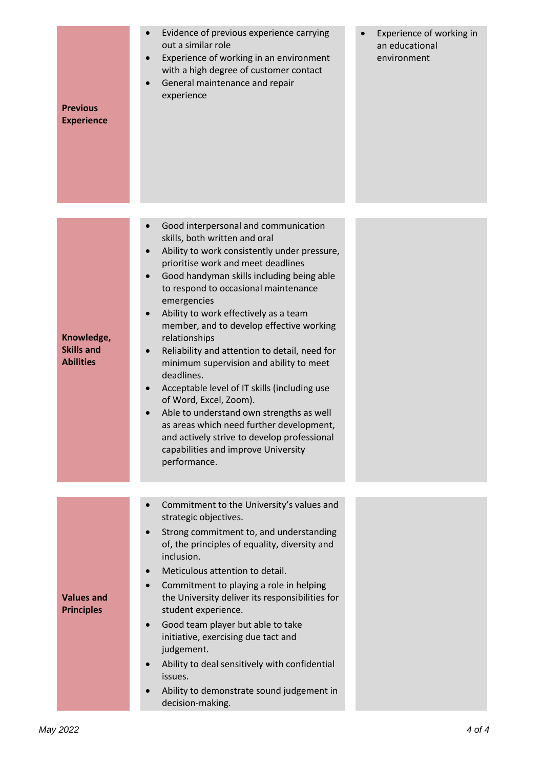| <b>Previous</b><br><b>Experience</b>                | Evidence of previous experience carrying<br>$\bullet$<br>out a similar role<br>Experience of working in an environment<br>$\bullet$<br>with a high degree of customer contact<br>General maintenance and repair<br>experience                                                                                                                                                                                                                                                                                                                                                                                                                                                                                                                                                                  | Experience of working in<br>an educational<br>environment |
|-----------------------------------------------------|------------------------------------------------------------------------------------------------------------------------------------------------------------------------------------------------------------------------------------------------------------------------------------------------------------------------------------------------------------------------------------------------------------------------------------------------------------------------------------------------------------------------------------------------------------------------------------------------------------------------------------------------------------------------------------------------------------------------------------------------------------------------------------------------|-----------------------------------------------------------|
| Knowledge,<br><b>Skills and</b><br><b>Abilities</b> | Good interpersonal and communication<br>skills, both written and oral<br>Ability to work consistently under pressure,<br>$\bullet$<br>prioritise work and meet deadlines<br>Good handyman skills including being able<br>$\bullet$<br>to respond to occasional maintenance<br>emergencies<br>Ability to work effectively as a team<br>member, and to develop effective working<br>relationships<br>Reliability and attention to detail, need for<br>$\bullet$<br>minimum supervision and ability to meet<br>deadlines.<br>Acceptable level of IT skills (including use<br>of Word, Excel, Zoom).<br>Able to understand own strengths as well<br>as areas which need further development,<br>and actively strive to develop professional<br>capabilities and improve University<br>performance. |                                                           |
| <b>Values and</b><br><b>Principles</b>              | Commitment to the University's values and<br>strategic objectives.<br>Strong commitment to, and understanding<br>of, the principles of equality, diversity and<br>inclusion.<br>Meticulous attention to detail.<br>Commitment to playing a role in helping<br>the University deliver its responsibilities for<br>student experience.<br>Good team player but able to take<br>$\bullet$<br>initiative, exercising due tact and<br>judgement.<br>Ability to deal sensitively with confidential<br>issues.<br>Ability to demonstrate sound judgement in<br>decision-making.                                                                                                                                                                                                                       |                                                           |